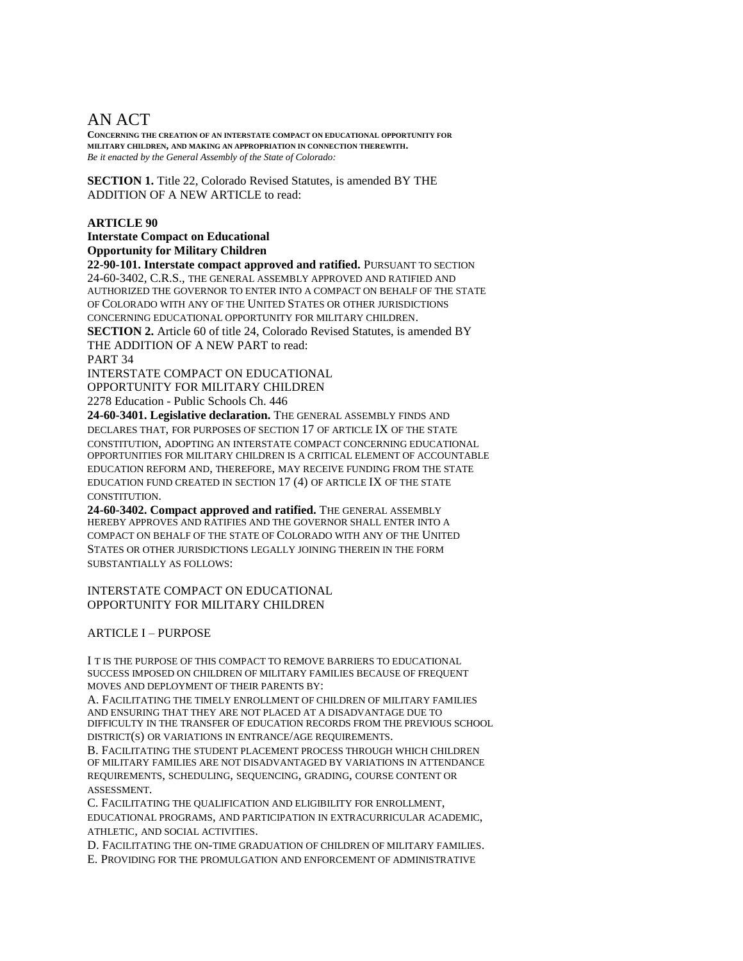# AN ACT

**CONCERNING THE CREATION OF AN INTERSTATE COMPACT ON EDUCATIONAL OPPORTUNITY FOR MILITARY CHILDREN, AND MAKING AN APPROPRIATION IN CONNECTION THEREWITH.** *Be it enacted by the General Assembly of the State of Colorado:*

**SECTION 1.** Title 22, Colorado Revised Statutes, is amended BY THE ADDITION OF A NEW ARTICLE to read:

## **ARTICLE 90**

**Interstate Compact on Educational Opportunity for Military Children**

**22-90-101. Interstate compact approved and ratified.** PURSUANT TO SECTION 24-60-3402, C.R.S., THE GENERAL ASSEMBLY APPROVED AND RATIFIED AND AUTHORIZED THE GOVERNOR TO ENTER INTO A COMPACT ON BEHALF OF THE STATE OF COLORADO WITH ANY OF THE UNITED STATES OR OTHER JURISDICTIONS CONCERNING EDUCATIONAL OPPORTUNITY FOR MILITARY CHILDREN.

**SECTION 2.** Article 60 of title 24, Colorado Revised Statutes, is amended BY THE ADDITION OF A NEW PART to read:

PART 34

INTERSTATE COMPACT ON EDUCATIONAL OPPORTUNITY FOR MILITARY CHILDREN 2278 Education - Public Schools Ch. 446

**24-60-3401. Legislative declaration.** THE GENERAL ASSEMBLY FINDS AND DECLARES THAT, FOR PURPOSES OF SECTION 17 OF ARTICLE IX OF THE STATE CONSTITUTION, ADOPTING AN INTERSTATE COMPACT CONCERNING EDUCATIONAL OPPORTUNITIES FOR MILITARY CHILDREN IS A CRITICAL ELEMENT OF ACCOUNTABLE EDUCATION REFORM AND, THEREFORE, MAY RECEIVE FUNDING FROM THE STATE EDUCATION FUND CREATED IN SECTION 17 (4) OF ARTICLE IX OF THE STATE CONSTITUTION.

**24-60-3402. Compact approved and ratified.** THE GENERAL ASSEMBLY HEREBY APPROVES AND RATIFIES AND THE GOVERNOR SHALL ENTER INTO A COMPACT ON BEHALF OF THE STATE OF COLORADO WITH ANY OF THE UNITED STATES OR OTHER JURISDICTIONS LEGALLY JOINING THEREIN IN THE FORM SUBSTANTIALLY AS FOLLOWS:

INTERSTATE COMPACT ON EDUCATIONAL OPPORTUNITY FOR MILITARY CHILDREN

ARTICLE I – PURPOSE

I T IS THE PURPOSE OF THIS COMPACT TO REMOVE BARRIERS TO EDUCATIONAL SUCCESS IMPOSED ON CHILDREN OF MILITARY FAMILIES BECAUSE OF FREQUENT MOVES AND DEPLOYMENT OF THEIR PARENTS BY:

A. FACILITATING THE TIMELY ENROLLMENT OF CHILDREN OF MILITARY FAMILIES AND ENSURING THAT THEY ARE NOT PLACED AT A DISADVANTAGE DUE TO DIFFICULTY IN THE TRANSFER OF EDUCATION RECORDS FROM THE PREVIOUS SCHOOL DISTRICT(S) OR VARIATIONS IN ENTRANCE/AGE REQUIREMENTS.

B. FACILITATING THE STUDENT PLACEMENT PROCESS THROUGH WHICH CHILDREN OF MILITARY FAMILIES ARE NOT DISADVANTAGED BY VARIATIONS IN ATTENDANCE REQUIREMENTS, SCHEDULING, SEQUENCING, GRADING, COURSE CONTENT OR ASSESSMENT.

C. FACILITATING THE QUALIFICATION AND ELIGIBILITY FOR ENROLLMENT, EDUCATIONAL PROGRAMS, AND PARTICIPATION IN EXTRACURRICULAR ACADEMIC, ATHLETIC, AND SOCIAL ACTIVITIES.

D. FACILITATING THE ON-TIME GRADUATION OF CHILDREN OF MILITARY FAMILIES.

E. PROVIDING FOR THE PROMULGATION AND ENFORCEMENT OF ADMINISTRATIVE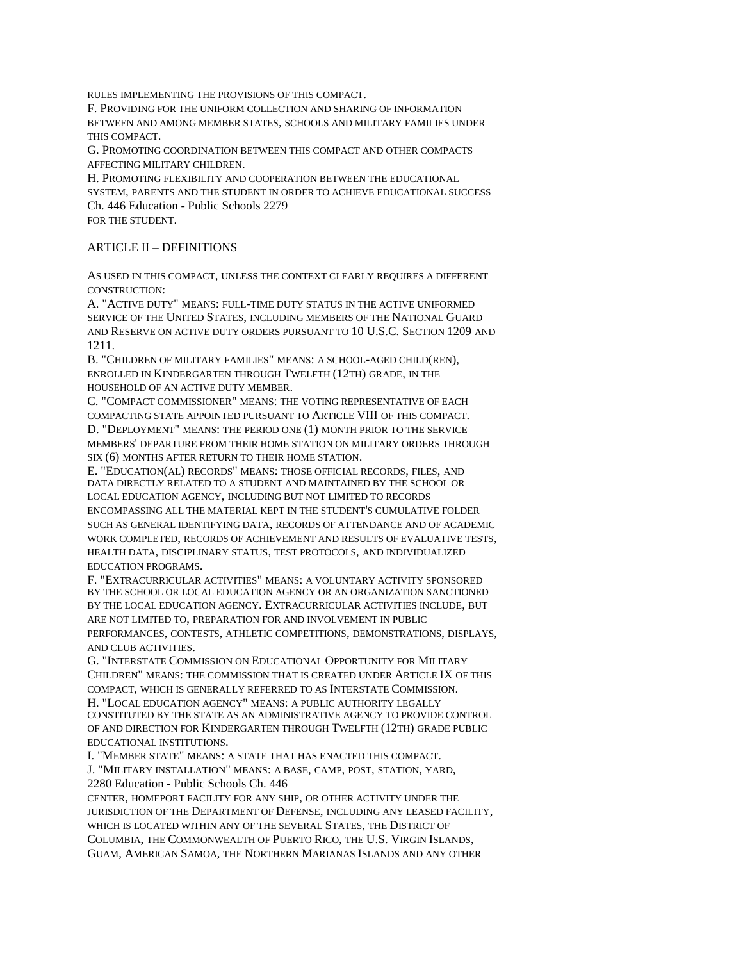RULES IMPLEMENTING THE PROVISIONS OF THIS COMPACT.

F. PROVIDING FOR THE UNIFORM COLLECTION AND SHARING OF INFORMATION BETWEEN AND AMONG MEMBER STATES, SCHOOLS AND MILITARY FAMILIES UNDER THIS COMPACT.

G. PROMOTING COORDINATION BETWEEN THIS COMPACT AND OTHER COMPACTS AFFECTING MILITARY CHILDREN.

H. PROMOTING FLEXIBILITY AND COOPERATION BETWEEN THE EDUCATIONAL SYSTEM, PARENTS AND THE STUDENT IN ORDER TO ACHIEVE EDUCATIONAL SUCCESS Ch. 446 Education - Public Schools 2279 FOR THE STUDENT.

## ARTICLE II – DEFINITIONS

AS USED IN THIS COMPACT, UNLESS THE CONTEXT CLEARLY REQUIRES A DIFFERENT CONSTRUCTION:

A. "ACTIVE DUTY" MEANS: FULL-TIME DUTY STATUS IN THE ACTIVE UNIFORMED SERVICE OF THE UNITED STATES, INCLUDING MEMBERS OF THE NATIONAL GUARD AND RESERVE ON ACTIVE DUTY ORDERS PURSUANT TO 10 U.S.C. SECTION 1209 AND 1211.

B. "CHILDREN OF MILITARY FAMILIES" MEANS: A SCHOOL-AGED CHILD(REN), ENROLLED IN KINDERGARTEN THROUGH TWELFTH (12TH) GRADE, IN THE HOUSEHOLD OF AN ACTIVE DUTY MEMBER.

C. "COMPACT COMMISSIONER" MEANS: THE VOTING REPRESENTATIVE OF EACH COMPACTING STATE APPOINTED PURSUANT TO ARTICLE VIII OF THIS COMPACT. D. "DEPLOYMENT" MEANS: THE PERIOD ONE (1) MONTH PRIOR TO THE SERVICE MEMBERS' DEPARTURE FROM THEIR HOME STATION ON MILITARY ORDERS THROUGH

SIX (6) MONTHS AFTER RETURN TO THEIR HOME STATION.

E. "EDUCATION(AL) RECORDS" MEANS: THOSE OFFICIAL RECORDS, FILES, AND DATA DIRECTLY RELATED TO A STUDENT AND MAINTAINED BY THE SCHOOL OR LOCAL EDUCATION AGENCY, INCLUDING BUT NOT LIMITED TO RECORDS ENCOMPASSING ALL THE MATERIAL KEPT IN THE STUDENT'S CUMULATIVE FOLDER SUCH AS GENERAL IDENTIFYING DATA, RECORDS OF ATTENDANCE AND OF ACADEMIC WORK COMPLETED, RECORDS OF ACHIEVEMENT AND RESULTS OF EVALUATIVE TESTS, HEALTH DATA, DISCIPLINARY STATUS, TEST PROTOCOLS, AND INDIVIDUALIZED EDUCATION PROGRAMS.

F. "EXTRACURRICULAR ACTIVITIES" MEANS: A VOLUNTARY ACTIVITY SPONSORED BY THE SCHOOL OR LOCAL EDUCATION AGENCY OR AN ORGANIZATION SANCTIONED BY THE LOCAL EDUCATION AGENCY. EXTRACURRICULAR ACTIVITIES INCLUDE, BUT ARE NOT LIMITED TO, PREPARATION FOR AND INVOLVEMENT IN PUBLIC PERFORMANCES, CONTESTS, ATHLETIC COMPETITIONS, DEMONSTRATIONS, DISPLAYS, AND CLUB ACTIVITIES.

G. "INTERSTATE COMMISSION ON EDUCATIONAL OPPORTUNITY FOR MILITARY CHILDREN" MEANS: THE COMMISSION THAT IS CREATED UNDER ARTICLE IX OF THIS COMPACT, WHICH IS GENERALLY REFERRED TO AS INTERSTATE COMMISSION.

H. "LOCAL EDUCATION AGENCY" MEANS: A PUBLIC AUTHORITY LEGALLY CONSTITUTED BY THE STATE AS AN ADMINISTRATIVE AGENCY TO PROVIDE CONTROL OF AND DIRECTION FOR KINDERGARTEN THROUGH TWELFTH (12TH) GRADE PUBLIC EDUCATIONAL INSTITUTIONS.

I. "MEMBER STATE" MEANS: A STATE THAT HAS ENACTED THIS COMPACT.

J. "MILITARY INSTALLATION" MEANS: A BASE, CAMP, POST, STATION, YARD, 2280 Education - Public Schools Ch. 446

CENTER, HOMEPORT FACILITY FOR ANY SHIP, OR OTHER ACTIVITY UNDER THE JURISDICTION OF THE DEPARTMENT OF DEFENSE, INCLUDING ANY LEASED FACILITY, WHICH IS LOCATED WITHIN ANY OF THE SEVERAL STATES, THE DISTRICT OF COLUMBIA, THE COMMONWEALTH OF PUERTO RICO, THE U.S. VIRGIN ISLANDS, GUAM, AMERICAN SAMOA, THE NORTHERN MARIANAS ISLANDS AND ANY OTHER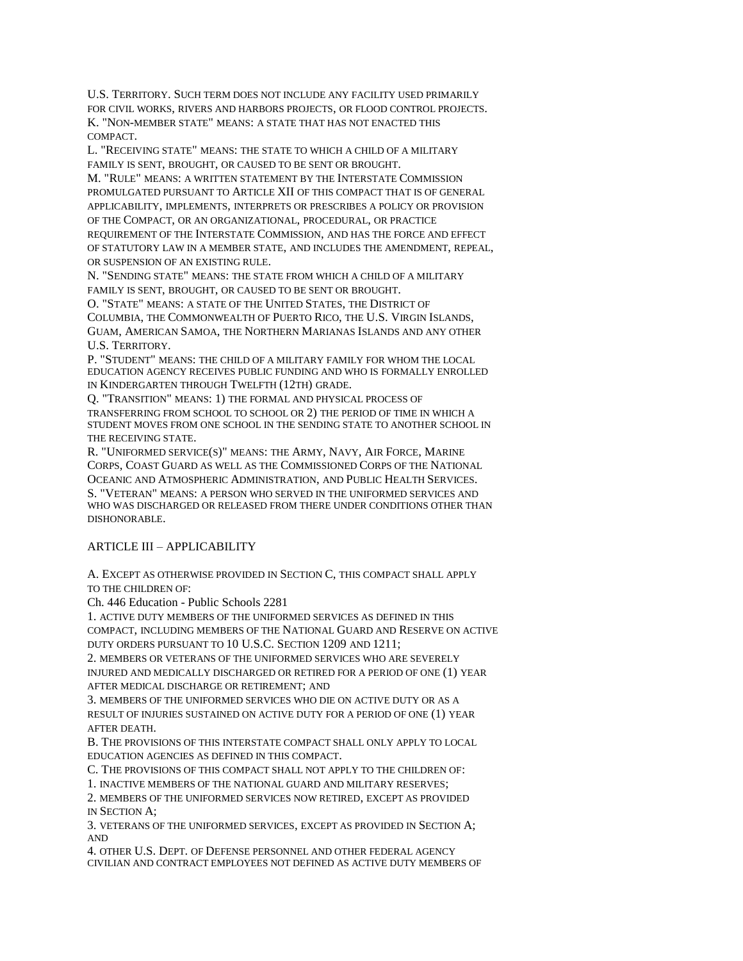U.S. TERRITORY. SUCH TERM DOES NOT INCLUDE ANY FACILITY USED PRIMARILY FOR CIVIL WORKS, RIVERS AND HARBORS PROJECTS, OR FLOOD CONTROL PROJECTS. K. "NON-MEMBER STATE" MEANS: A STATE THAT HAS NOT ENACTED THIS COMPACT.

L. "RECEIVING STATE" MEANS: THE STATE TO WHICH A CHILD OF A MILITARY FAMILY IS SENT, BROUGHT, OR CAUSED TO BE SENT OR BROUGHT.

M. "RULE" MEANS: A WRITTEN STATEMENT BY THE INTERSTATE COMMISSION PROMULGATED PURSUANT TO ARTICLE XII OF THIS COMPACT THAT IS OF GENERAL APPLICABILITY, IMPLEMENTS, INTERPRETS OR PRESCRIBES A POLICY OR PROVISION OF THE COMPACT, OR AN ORGANIZATIONAL, PROCEDURAL, OR PRACTICE REQUIREMENT OF THE INTERSTATE COMMISSION, AND HAS THE FORCE AND EFFECT OF STATUTORY LAW IN A MEMBER STATE, AND INCLUDES THE AMENDMENT, REPEAL, OR SUSPENSION OF AN EXISTING RULE.

N. "SENDING STATE" MEANS: THE STATE FROM WHICH A CHILD OF A MILITARY FAMILY IS SENT, BROUGHT, OR CAUSED TO BE SENT OR BROUGHT.

O. "STATE" MEANS: A STATE OF THE UNITED STATES, THE DISTRICT OF COLUMBIA, THE COMMONWEALTH OF PUERTO RICO, THE U.S. VIRGIN ISLANDS, GUAM, AMERICAN SAMOA, THE NORTHERN MARIANAS ISLANDS AND ANY OTHER U.S. TERRITORY.

P. "STUDENT" MEANS: THE CHILD OF A MILITARY FAMILY FOR WHOM THE LOCAL EDUCATION AGENCY RECEIVES PUBLIC FUNDING AND WHO IS FORMALLY ENROLLED IN KINDERGARTEN THROUGH TWELFTH (12TH) GRADE.

Q. "TRANSITION" MEANS: 1) THE FORMAL AND PHYSICAL PROCESS OF TRANSFERRING FROM SCHOOL TO SCHOOL OR 2) THE PERIOD OF TIME IN WHICH A STUDENT MOVES FROM ONE SCHOOL IN THE SENDING STATE TO ANOTHER SCHOOL IN THE RECEIVING STATE.

R. "UNIFORMED SERVICE(S)" MEANS: THE ARMY, NAVY, AIR FORCE, MARINE CORPS, COAST GUARD AS WELL AS THE COMMISSIONED CORPS OF THE NATIONAL OCEANIC AND ATMOSPHERIC ADMINISTRATION, AND PUBLIC HEALTH SERVICES. S. "VETERAN" MEANS: A PERSON WHO SERVED IN THE UNIFORMED SERVICES AND

WHO WAS DISCHARGED OR RELEASED FROM THERE UNDER CONDITIONS OTHER THAN DISHONORABLE.

# ARTICLE III – APPLICABILITY

A. EXCEPT AS OTHERWISE PROVIDED IN SECTION C, THIS COMPACT SHALL APPLY TO THE CHILDREN OF:

Ch. 446 Education - Public Schools 2281

1. ACTIVE DUTY MEMBERS OF THE UNIFORMED SERVICES AS DEFINED IN THIS COMPACT, INCLUDING MEMBERS OF THE NATIONAL GUARD AND RESERVE ON ACTIVE DUTY ORDERS PURSUANT TO 10 U.S.C. SECTION 1209 AND 1211;

2. MEMBERS OR VETERANS OF THE UNIFORMED SERVICES WHO ARE SEVERELY INJURED AND MEDICALLY DISCHARGED OR RETIRED FOR A PERIOD OF ONE (1) YEAR AFTER MEDICAL DISCHARGE OR RETIREMENT; AND

3. MEMBERS OF THE UNIFORMED SERVICES WHO DIE ON ACTIVE DUTY OR AS A RESULT OF INJURIES SUSTAINED ON ACTIVE DUTY FOR A PERIOD OF ONE (1) YEAR AFTER DEATH.

B. THE PROVISIONS OF THIS INTERSTATE COMPACT SHALL ONLY APPLY TO LOCAL EDUCATION AGENCIES AS DEFINED IN THIS COMPACT.

C. THE PROVISIONS OF THIS COMPACT SHALL NOT APPLY TO THE CHILDREN OF:

1. INACTIVE MEMBERS OF THE NATIONAL GUARD AND MILITARY RESERVES;

2. MEMBERS OF THE UNIFORMED SERVICES NOW RETIRED, EXCEPT AS PROVIDED IN SECTION A;

3. VETERANS OF THE UNIFORMED SERVICES, EXCEPT AS PROVIDED IN SECTION A; AND

4. OTHER U.S. DEPT. OF DEFENSE PERSONNEL AND OTHER FEDERAL AGENCY CIVILIAN AND CONTRACT EMPLOYEES NOT DEFINED AS ACTIVE DUTY MEMBERS OF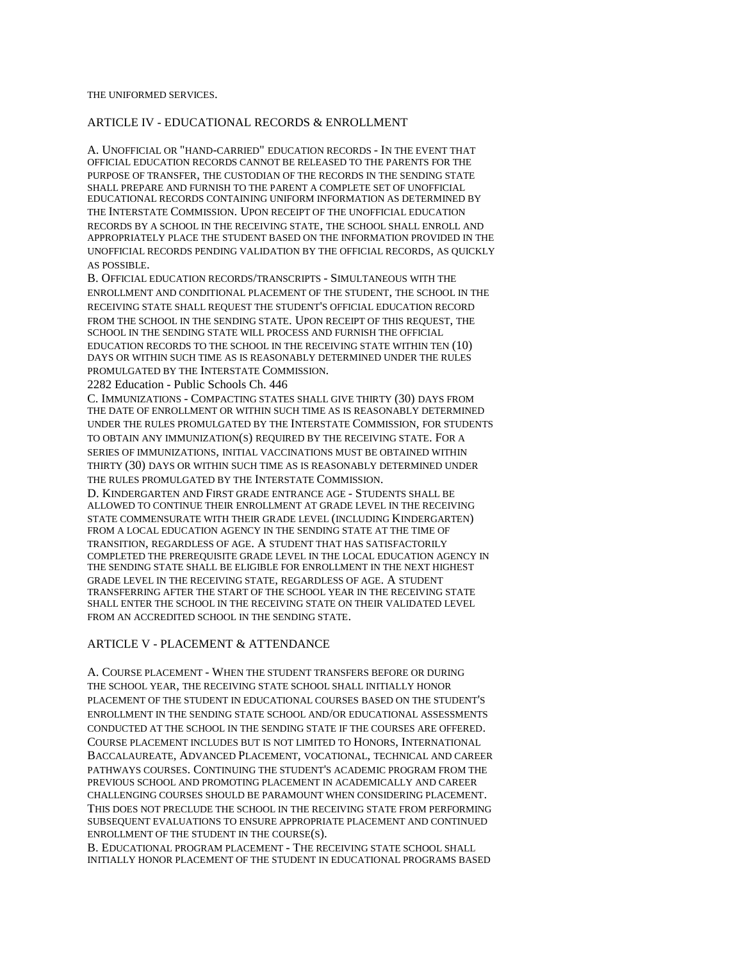THE UNIFORMED SERVICES.

#### ARTICLE IV - EDUCATIONAL RECORDS & ENROLLMENT

A. UNOFFICIAL OR "HAND-CARRIED" EDUCATION RECORDS - IN THE EVENT THAT OFFICIAL EDUCATION RECORDS CANNOT BE RELEASED TO THE PARENTS FOR THE PURPOSE OF TRANSFER, THE CUSTODIAN OF THE RECORDS IN THE SENDING STATE SHALL PREPARE AND FURNISH TO THE PARENT A COMPLETE SET OF UNOFFICIAL EDUCATIONAL RECORDS CONTAINING UNIFORM INFORMATION AS DETERMINED BY THE INTERSTATE COMMISSION. UPON RECEIPT OF THE UNOFFICIAL EDUCATION RECORDS BY A SCHOOL IN THE RECEIVING STATE, THE SCHOOL SHALL ENROLL AND APPROPRIATELY PLACE THE STUDENT BASED ON THE INFORMATION PROVIDED IN THE UNOFFICIAL RECORDS PENDING VALIDATION BY THE OFFICIAL RECORDS, AS QUICKLY AS POSSIBLE.

B. OFFICIAL EDUCATION RECORDS/TRANSCRIPTS - SIMULTANEOUS WITH THE ENROLLMENT AND CONDITIONAL PLACEMENT OF THE STUDENT, THE SCHOOL IN THE RECEIVING STATE SHALL REQUEST THE STUDENT'S OFFICIAL EDUCATION RECORD FROM THE SCHOOL IN THE SENDING STATE. UPON RECEIPT OF THIS REQUEST, THE SCHOOL IN THE SENDING STATE WILL PROCESS AND FURNISH THE OFFICIAL EDUCATION RECORDS TO THE SCHOOL IN THE RECEIVING STATE WITHIN TEN (10) DAYS OR WITHIN SUCH TIME AS IS REASONABLY DETERMINED UNDER THE RULES PROMULGATED BY THE INTERSTATE COMMISSION.

2282 Education - Public Schools Ch. 446

C. IMMUNIZATIONS - COMPACTING STATES SHALL GIVE THIRTY (30) DAYS FROM THE DATE OF ENROLLMENT OR WITHIN SUCH TIME AS IS REASONABLY DETERMINED UNDER THE RULES PROMULGATED BY THE INTERSTATE COMMISSION, FOR STUDENTS TO OBTAIN ANY IMMUNIZATION(S) REQUIRED BY THE RECEIVING STATE. FOR A SERIES OF IMMUNIZATIONS, INITIAL VACCINATIONS MUST BE OBTAINED WITHIN THIRTY (30) DAYS OR WITHIN SUCH TIME AS IS REASONABLY DETERMINED UNDER THE RULES PROMULGATED BY THE INTERSTATE COMMISSION.

D. KINDERGARTEN AND FIRST GRADE ENTRANCE AGE - STUDENTS SHALL BE ALLOWED TO CONTINUE THEIR ENROLLMENT AT GRADE LEVEL IN THE RECEIVING STATE COMMENSURATE WITH THEIR GRADE LEVEL (INCLUDING KINDERGARTEN) FROM A LOCAL EDUCATION AGENCY IN THE SENDING STATE AT THE TIME OF TRANSITION, REGARDLESS OF AGE. A STUDENT THAT HAS SATISFACTORILY COMPLETED THE PREREQUISITE GRADE LEVEL IN THE LOCAL EDUCATION AGENCY IN THE SENDING STATE SHALL BE ELIGIBLE FOR ENROLLMENT IN THE NEXT HIGHEST GRADE LEVEL IN THE RECEIVING STATE, REGARDLESS OF AGE. A STUDENT TRANSFERRING AFTER THE START OF THE SCHOOL YEAR IN THE RECEIVING STATE SHALL ENTER THE SCHOOL IN THE RECEIVING STATE ON THEIR VALIDATED LEVEL FROM AN ACCREDITED SCHOOL IN THE SENDING STATE.

#### ARTICLE V - PLACEMENT & ATTENDANCE

A. COURSE PLACEMENT - WHEN THE STUDENT TRANSFERS BEFORE OR DURING THE SCHOOL YEAR, THE RECEIVING STATE SCHOOL SHALL INITIALLY HONOR PLACEMENT OF THE STUDENT IN EDUCATIONAL COURSES BASED ON THE STUDENT'S ENROLLMENT IN THE SENDING STATE SCHOOL AND/OR EDUCATIONAL ASSESSMENTS CONDUCTED AT THE SCHOOL IN THE SENDING STATE IF THE COURSES ARE OFFERED. COURSE PLACEMENT INCLUDES BUT IS NOT LIMITED TO HONORS, INTERNATIONAL BACCALAUREATE, ADVANCED PLACEMENT, VOCATIONAL, TECHNICAL AND CAREER PATHWAYS COURSES. CONTINUING THE STUDENT'S ACADEMIC PROGRAM FROM THE PREVIOUS SCHOOL AND PROMOTING PLACEMENT IN ACADEMICALLY AND CAREER CHALLENGING COURSES SHOULD BE PARAMOUNT WHEN CONSIDERING PLACEMENT. THIS DOES NOT PRECLUDE THE SCHOOL IN THE RECEIVING STATE FROM PERFORMING SUBSEQUENT EVALUATIONS TO ENSURE APPROPRIATE PLACEMENT AND CONTINUED ENROLLMENT OF THE STUDENT IN THE COURSE(S).

B. EDUCATIONAL PROGRAM PLACEMENT - THE RECEIVING STATE SCHOOL SHALL INITIALLY HONOR PLACEMENT OF THE STUDENT IN EDUCATIONAL PROGRAMS BASED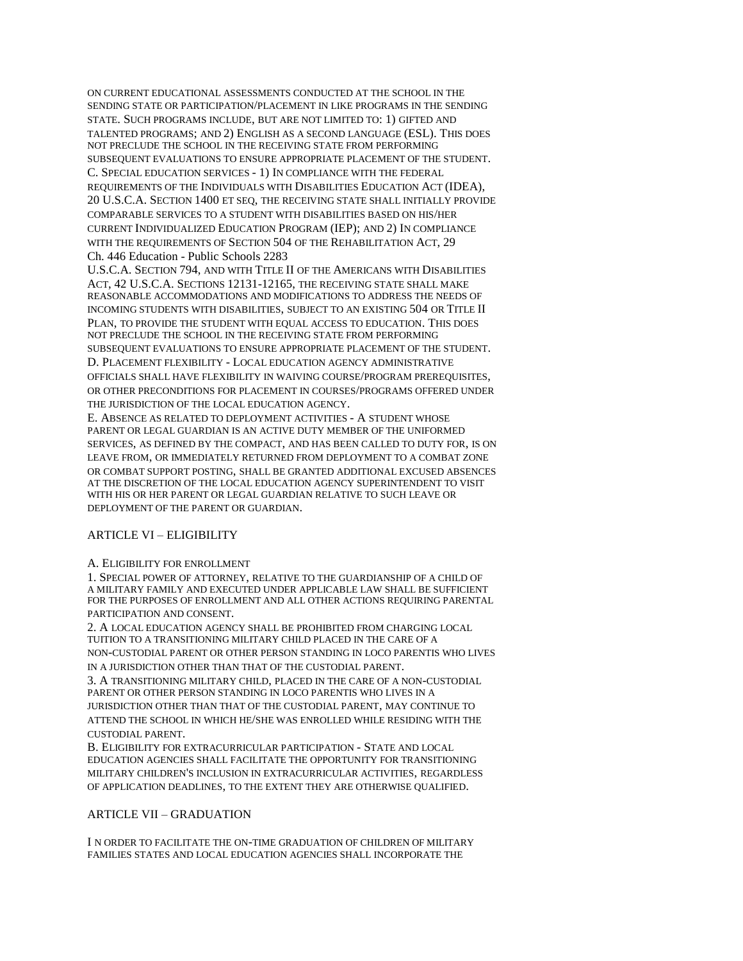ON CURRENT EDUCATIONAL ASSESSMENTS CONDUCTED AT THE SCHOOL IN THE SENDING STATE OR PARTICIPATION/PLACEMENT IN LIKE PROGRAMS IN THE SENDING STATE. SUCH PROGRAMS INCLUDE, BUT ARE NOT LIMITED TO: 1) GIFTED AND TALENTED PROGRAMS; AND 2) ENGLISH AS A SECOND LANGUAGE (ESL). THIS DOES NOT PRECLUDE THE SCHOOL IN THE RECEIVING STATE FROM PERFORMING SUBSEQUENT EVALUATIONS TO ENSURE APPROPRIATE PLACEMENT OF THE STUDENT. C. SPECIAL EDUCATION SERVICES - 1) IN COMPLIANCE WITH THE FEDERAL REQUIREMENTS OF THE INDIVIDUALS WITH DISABILITIES EDUCATION ACT (IDEA), 20 U.S.C.A. SECTION 1400 ET SEQ, THE RECEIVING STATE SHALL INITIALLY PROVIDE COMPARABLE SERVICES TO A STUDENT WITH DISABILITIES BASED ON HIS/HER CURRENT INDIVIDUALIZED EDUCATION PROGRAM (IEP); AND 2) IN COMPLIANCE WITH THE REQUIREMENTS OF SECTION 504 OF THE REHABILITATION ACT, 29 Ch. 446 Education - Public Schools 2283

U.S.C.A. SECTION 794, AND WITH TITLE II OF THE AMERICANS WITH DISABILITIES ACT, 42 U.S.C.A. SECTIONS 12131-12165, THE RECEIVING STATE SHALL MAKE REASONABLE ACCOMMODATIONS AND MODIFICATIONS TO ADDRESS THE NEEDS OF INCOMING STUDENTS WITH DISABILITIES, SUBJECT TO AN EXISTING 504 OR TITLE II PLAN, TO PROVIDE THE STUDENT WITH EQUAL ACCESS TO EDUCATION. THIS DOES NOT PRECLUDE THE SCHOOL IN THE RECEIVING STATE FROM PERFORMING SUBSEQUENT EVALUATIONS TO ENSURE APPROPRIATE PLACEMENT OF THE STUDENT. D. PLACEMENT FLEXIBILITY - LOCAL EDUCATION AGENCY ADMINISTRATIVE OFFICIALS SHALL HAVE FLEXIBILITY IN WAIVING COURSE/PROGRAM PREREQUISITES, OR OTHER PRECONDITIONS FOR PLACEMENT IN COURSES/PROGRAMS OFFERED UNDER THE JURISDICTION OF THE LOCAL EDUCATION AGENCY.

E. ABSENCE AS RELATED TO DEPLOYMENT ACTIVITIES - A STUDENT WHOSE PARENT OR LEGAL GUARDIAN IS AN ACTIVE DUTY MEMBER OF THE UNIFORMED SERVICES, AS DEFINED BY THE COMPACT, AND HAS BEEN CALLED TO DUTY FOR, IS ON LEAVE FROM, OR IMMEDIATELY RETURNED FROM DEPLOYMENT TO A COMBAT ZONE OR COMBAT SUPPORT POSTING, SHALL BE GRANTED ADDITIONAL EXCUSED ABSENCES AT THE DISCRETION OF THE LOCAL EDUCATION AGENCY SUPERINTENDENT TO VISIT WITH HIS OR HER PARENT OR LEGAL GUARDIAN RELATIVE TO SUCH LEAVE OR DEPLOYMENT OF THE PARENT OR GUARDIAN.

#### ARTICLE VI – ELIGIBILITY

A. ELIGIBILITY FOR ENROLLMENT

1. SPECIAL POWER OF ATTORNEY, RELATIVE TO THE GUARDIANSHIP OF A CHILD OF A MILITARY FAMILY AND EXECUTED UNDER APPLICABLE LAW SHALL BE SUFFICIENT FOR THE PURPOSES OF ENROLLMENT AND ALL OTHER ACTIONS REQUIRING PARENTAL PARTICIPATION AND CONSENT.

2. A LOCAL EDUCATION AGENCY SHALL BE PROHIBITED FROM CHARGING LOCAL TUITION TO A TRANSITIONING MILITARY CHILD PLACED IN THE CARE OF A NON-CUSTODIAL PARENT OR OTHER PERSON STANDING IN LOCO PARENTIS WHO LIVES IN A JURISDICTION OTHER THAN THAT OF THE CUSTODIAL PARENT.

3. A TRANSITIONING MILITARY CHILD, PLACED IN THE CARE OF A NON-CUSTODIAL PARENT OR OTHER PERSON STANDING IN LOCO PARENTIS WHO LIVES IN A JURISDICTION OTHER THAN THAT OF THE CUSTODIAL PARENT, MAY CONTINUE TO ATTEND THE SCHOOL IN WHICH HE/SHE WAS ENROLLED WHILE RESIDING WITH THE CUSTODIAL PARENT.

B. ELIGIBILITY FOR EXTRACURRICULAR PARTICIPATION - STATE AND LOCAL EDUCATION AGENCIES SHALL FACILITATE THE OPPORTUNITY FOR TRANSITIONING MILITARY CHILDREN'S INCLUSION IN EXTRACURRICULAR ACTIVITIES, REGARDLESS OF APPLICATION DEADLINES, TO THE EXTENT THEY ARE OTHERWISE QUALIFIED.

#### ARTICLE VII – GRADUATION

I N ORDER TO FACILITATE THE ON-TIME GRADUATION OF CHILDREN OF MILITARY FAMILIES STATES AND LOCAL EDUCATION AGENCIES SHALL INCORPORATE THE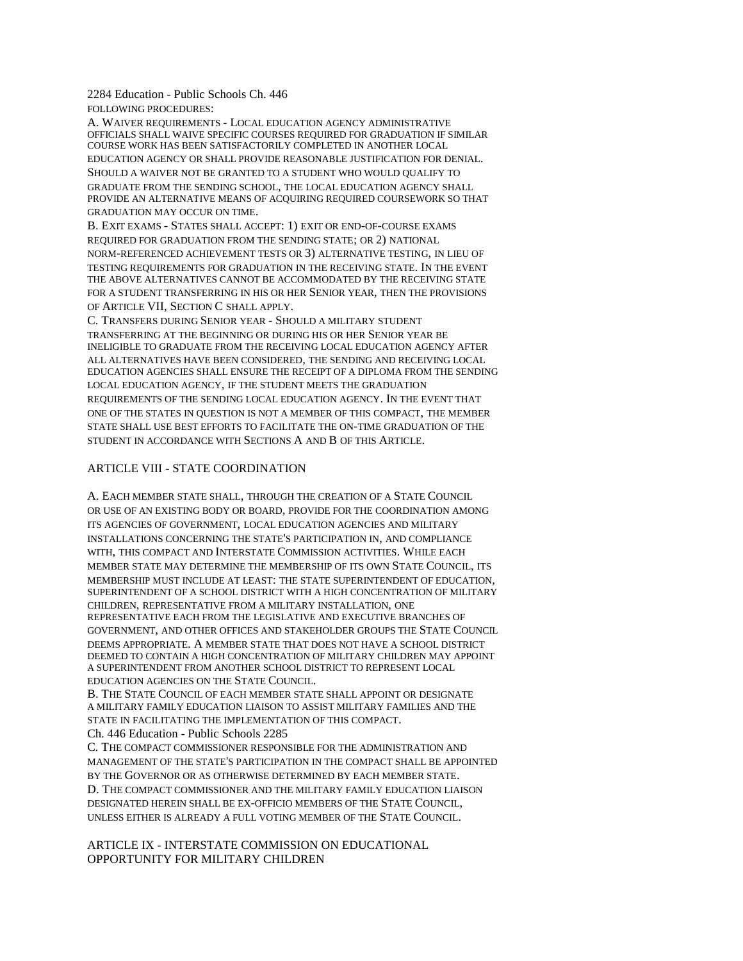2284 Education - Public Schools Ch. 446 FOLLOWING PROCEDURES:

A. WAIVER REQUIREMENTS - LOCAL EDUCATION AGENCY ADMINISTRATIVE OFFICIALS SHALL WAIVE SPECIFIC COURSES REQUIRED FOR GRADUATION IF SIMILAR COURSE WORK HAS BEEN SATISFACTORILY COMPLETED IN ANOTHER LOCAL EDUCATION AGENCY OR SHALL PROVIDE REASONABLE JUSTIFICATION FOR DENIAL. SHOULD A WAIVER NOT BE GRANTED TO A STUDENT WHO WOULD QUALIFY TO GRADUATE FROM THE SENDING SCHOOL, THE LOCAL EDUCATION AGENCY SHALL PROVIDE AN ALTERNATIVE MEANS OF ACQUIRING REQUIRED COURSEWORK SO THAT GRADUATION MAY OCCUR ON TIME.

B. EXIT EXAMS - STATES SHALL ACCEPT: 1) EXIT OR END-OF-COURSE EXAMS REQUIRED FOR GRADUATION FROM THE SENDING STATE; OR 2) NATIONAL NORM-REFERENCED ACHIEVEMENT TESTS OR 3) ALTERNATIVE TESTING, IN LIEU OF TESTING REQUIREMENTS FOR GRADUATION IN THE RECEIVING STATE. IN THE EVENT THE ABOVE ALTERNATIVES CANNOT BE ACCOMMODATED BY THE RECEIVING STATE FOR A STUDENT TRANSFERRING IN HIS OR HER SENIOR YEAR, THEN THE PROVISIONS OF ARTICLE VII, SECTION C SHALL APPLY.

C. TRANSFERS DURING SENIOR YEAR - SHOULD A MILITARY STUDENT TRANSFERRING AT THE BEGINNING OR DURING HIS OR HER SENIOR YEAR BE INELIGIBLE TO GRADUATE FROM THE RECEIVING LOCAL EDUCATION AGENCY AFTER ALL ALTERNATIVES HAVE BEEN CONSIDERED, THE SENDING AND RECEIVING LOCAL EDUCATION AGENCIES SHALL ENSURE THE RECEIPT OF A DIPLOMA FROM THE SENDING LOCAL EDUCATION AGENCY, IF THE STUDENT MEETS THE GRADUATION REQUIREMENTS OF THE SENDING LOCAL EDUCATION AGENCY. IN THE EVENT THAT ONE OF THE STATES IN QUESTION IS NOT A MEMBER OF THIS COMPACT, THE MEMBER STATE SHALL USE BEST EFFORTS TO FACILITATE THE ON-TIME GRADUATION OF THE STUDENT IN ACCORDANCE WITH SECTIONS A AND B OF THIS ARTICLE.

### ARTICLE VIII - STATE COORDINATION

A. EACH MEMBER STATE SHALL, THROUGH THE CREATION OF A STATE COUNCIL OR USE OF AN EXISTING BODY OR BOARD, PROVIDE FOR THE COORDINATION AMONG ITS AGENCIES OF GOVERNMENT, LOCAL EDUCATION AGENCIES AND MILITARY INSTALLATIONS CONCERNING THE STATE'S PARTICIPATION IN, AND COMPLIANCE WITH, THIS COMPACT AND INTERSTATE COMMISSION ACTIVITIES. WHILE EACH MEMBER STATE MAY DETERMINE THE MEMBERSHIP OF ITS OWN STATE COUNCIL, ITS MEMBERSHIP MUST INCLUDE AT LEAST: THE STATE SUPERINTENDENT OF EDUCATION, SUPERINTENDENT OF A SCHOOL DISTRICT WITH A HIGH CONCENTRATION OF MILITARY CHILDREN, REPRESENTATIVE FROM A MILITARY INSTALLATION, ONE REPRESENTATIVE EACH FROM THE LEGISLATIVE AND EXECUTIVE BRANCHES OF GOVERNMENT, AND OTHER OFFICES AND STAKEHOLDER GROUPS THE STATE COUNCIL DEEMS APPROPRIATE. A MEMBER STATE THAT DOES NOT HAVE A SCHOOL DISTRICT DEEMED TO CONTAIN A HIGH CONCENTRATION OF MILITARY CHILDREN MAY APPOINT A SUPERINTENDENT FROM ANOTHER SCHOOL DISTRICT TO REPRESENT LOCAL EDUCATION AGENCIES ON THE STATE COUNCIL.

B. THE STATE COUNCIL OF EACH MEMBER STATE SHALL APPOINT OR DESIGNATE A MILITARY FAMILY EDUCATION LIAISON TO ASSIST MILITARY FAMILIES AND THE STATE IN FACILITATING THE IMPLEMENTATION OF THIS COMPACT.

Ch. 446 Education - Public Schools 2285

C. THE COMPACT COMMISSIONER RESPONSIBLE FOR THE ADMINISTRATION AND MANAGEMENT OF THE STATE'S PARTICIPATION IN THE COMPACT SHALL BE APPOINTED BY THE GOVERNOR OR AS OTHERWISE DETERMINED BY EACH MEMBER STATE.

D. THE COMPACT COMMISSIONER AND THE MILITARY FAMILY EDUCATION LIAISON DESIGNATED HEREIN SHALL BE EX-OFFICIO MEMBERS OF THE STATE COUNCIL, UNLESS EITHER IS ALREADY A FULL VOTING MEMBER OF THE STATE COUNCIL.

ARTICLE IX - INTERSTATE COMMISSION ON EDUCATIONAL OPPORTUNITY FOR MILITARY CHILDREN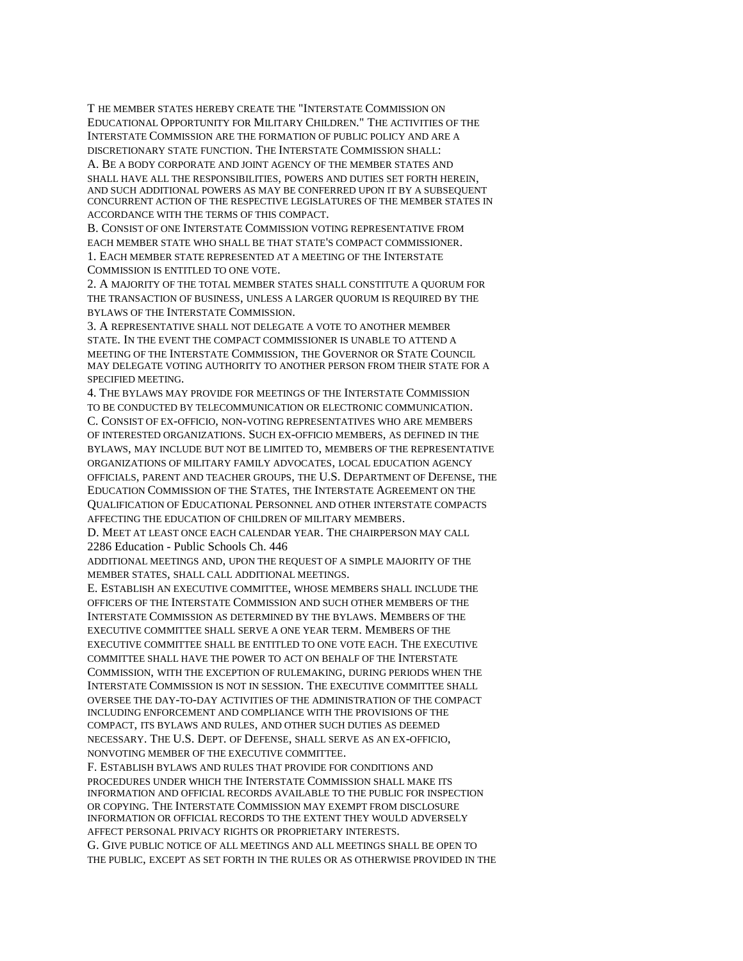T HE MEMBER STATES HEREBY CREATE THE "INTERSTATE COMMISSION ON EDUCATIONAL OPPORTUNITY FOR MILITARY CHILDREN." THE ACTIVITIES OF THE INTERSTATE COMMISSION ARE THE FORMATION OF PUBLIC POLICY AND ARE A DISCRETIONARY STATE FUNCTION. THE INTERSTATE COMMISSION SHALL:

A. BE A BODY CORPORATE AND JOINT AGENCY OF THE MEMBER STATES AND SHALL HAVE ALL THE RESPONSIBILITIES, POWERS AND DUTIES SET FORTH HEREIN, AND SUCH ADDITIONAL POWERS AS MAY BE CONFERRED UPON IT BY A SUBSEQUENT CONCURRENT ACTION OF THE RESPECTIVE LEGISLATURES OF THE MEMBER STATES IN ACCORDANCE WITH THE TERMS OF THIS COMPACT.

B. CONSIST OF ONE INTERSTATE COMMISSION VOTING REPRESENTATIVE FROM EACH MEMBER STATE WHO SHALL BE THAT STATE'S COMPACT COMMISSIONER. 1. EACH MEMBER STATE REPRESENTED AT A MEETING OF THE INTERSTATE COMMISSION IS ENTITLED TO ONE VOTE.

2. A MAJORITY OF THE TOTAL MEMBER STATES SHALL CONSTITUTE A QUORUM FOR THE TRANSACTION OF BUSINESS, UNLESS A LARGER QUORUM IS REQUIRED BY THE BYLAWS OF THE INTERSTATE COMMISSION.

3. A REPRESENTATIVE SHALL NOT DELEGATE A VOTE TO ANOTHER MEMBER STATE. IN THE EVENT THE COMPACT COMMISSIONER IS UNABLE TO ATTEND A MEETING OF THE INTERSTATE COMMISSION, THE GOVERNOR OR STATE COUNCIL MAY DELEGATE VOTING AUTHORITY TO ANOTHER PERSON FROM THEIR STATE FOR A SPECIFIED MEETING.

4. THE BYLAWS MAY PROVIDE FOR MEETINGS OF THE INTERSTATE COMMISSION TO BE CONDUCTED BY TELECOMMUNICATION OR ELECTRONIC COMMUNICATION.

C. CONSIST OF EX-OFFICIO, NON-VOTING REPRESENTATIVES WHO ARE MEMBERS OF INTERESTED ORGANIZATIONS. SUCH EX-OFFICIO MEMBERS, AS DEFINED IN THE BYLAWS, MAY INCLUDE BUT NOT BE LIMITED TO, MEMBERS OF THE REPRESENTATIVE ORGANIZATIONS OF MILITARY FAMILY ADVOCATES, LOCAL EDUCATION AGENCY OFFICIALS, PARENT AND TEACHER GROUPS, THE U.S. DEPARTMENT OF DEFENSE, THE EDUCATION COMMISSION OF THE STATES, THE INTERSTATE AGREEMENT ON THE QUALIFICATION OF EDUCATIONAL PERSONNEL AND OTHER INTERSTATE COMPACTS AFFECTING THE EDUCATION OF CHILDREN OF MILITARY MEMBERS.

D. MEET AT LEAST ONCE EACH CALENDAR YEAR. THE CHAIRPERSON MAY CALL 2286 Education - Public Schools Ch. 446

ADDITIONAL MEETINGS AND, UPON THE REQUEST OF A SIMPLE MAJORITY OF THE MEMBER STATES, SHALL CALL ADDITIONAL MEETINGS.

E. ESTABLISH AN EXECUTIVE COMMITTEE, WHOSE MEMBERS SHALL INCLUDE THE OFFICERS OF THE INTERSTATE COMMISSION AND SUCH OTHER MEMBERS OF THE INTERSTATE COMMISSION AS DETERMINED BY THE BYLAWS. MEMBERS OF THE EXECUTIVE COMMITTEE SHALL SERVE A ONE YEAR TERM. MEMBERS OF THE EXECUTIVE COMMITTEE SHALL BE ENTITLED TO ONE VOTE EACH. THE EXECUTIVE COMMITTEE SHALL HAVE THE POWER TO ACT ON BEHALF OF THE INTERSTATE COMMISSION, WITH THE EXCEPTION OF RULEMAKING, DURING PERIODS WHEN THE INTERSTATE COMMISSION IS NOT IN SESSION. THE EXECUTIVE COMMITTEE SHALL OVERSEE THE DAY-TO-DAY ACTIVITIES OF THE ADMINISTRATION OF THE COMPACT INCLUDING ENFORCEMENT AND COMPLIANCE WITH THE PROVISIONS OF THE COMPACT, ITS BYLAWS AND RULES, AND OTHER SUCH DUTIES AS DEEMED NECESSARY. THE U.S. DEPT. OF DEFENSE, SHALL SERVE AS AN EX-OFFICIO, NONVOTING MEMBER OF THE EXECUTIVE COMMITTEE.

F. ESTABLISH BYLAWS AND RULES THAT PROVIDE FOR CONDITIONS AND PROCEDURES UNDER WHICH THE INTERSTATE COMMISSION SHALL MAKE ITS INFORMATION AND OFFICIAL RECORDS AVAILABLE TO THE PUBLIC FOR INSPECTION OR COPYING. THE INTERSTATE COMMISSION MAY EXEMPT FROM DISCLOSURE INFORMATION OR OFFICIAL RECORDS TO THE EXTENT THEY WOULD ADVERSELY AFFECT PERSONAL PRIVACY RIGHTS OR PROPRIETARY INTERESTS.

G. GIVE PUBLIC NOTICE OF ALL MEETINGS AND ALL MEETINGS SHALL BE OPEN TO THE PUBLIC, EXCEPT AS SET FORTH IN THE RULES OR AS OTHERWISE PROVIDED IN THE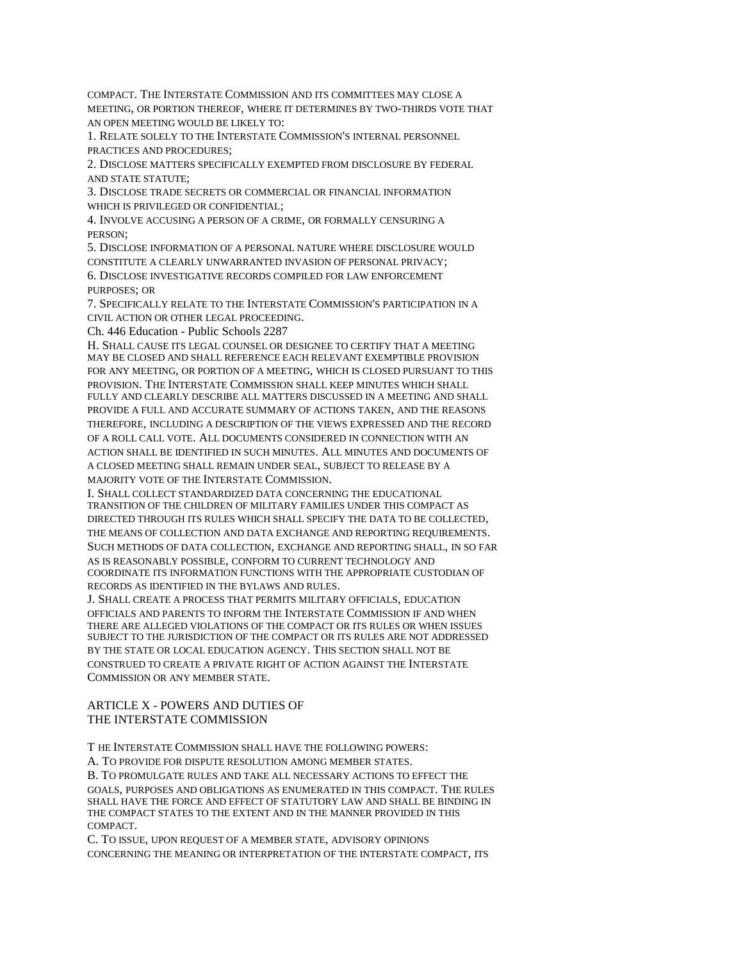COMPACT. THE INTERSTATE COMMISSION AND ITS COMMITTEES MAY CLOSE A MEETING, OR PORTION THEREOF, WHERE IT DETERMINES BY TWO-THIRDS VOTE THAT AN OPEN MEETING WOULD BE LIKELY TO:

1. RELATE SOLELY TO THE INTERSTATE COMMISSION'S INTERNAL PERSONNEL PRACTICES AND PROCEDURES;

2. DISCLOSE MATTERS SPECIFICALLY EXEMPTED FROM DISCLOSURE BY FEDERAL AND STATE STATUTE;

3. DISCLOSE TRADE SECRETS OR COMMERCIAL OR FINANCIAL INFORMATION WHICH IS PRIVILEGED OR CONFIDENTIAL;

4. INVOLVE ACCUSING A PERSON OF A CRIME, OR FORMALLY CENSURING A PERSON;

5. DISCLOSE INFORMATION OF A PERSONAL NATURE WHERE DISCLOSURE WOULD CONSTITUTE A CLEARLY UNWARRANTED INVASION OF PERSONAL PRIVACY;

6. DISCLOSE INVESTIGATIVE RECORDS COMPILED FOR LAW ENFORCEMENT PURPOSES; OR

7. SPECIFICALLY RELATE TO THE INTERSTATE COMMISSION'S PARTICIPATION IN A CIVIL ACTION OR OTHER LEGAL PROCEEDING.

Ch. 446 Education - Public Schools 2287

H. SHALL CAUSE ITS LEGAL COUNSEL OR DESIGNEE TO CERTIFY THAT A MEETING MAY BE CLOSED AND SHALL REFERENCE EACH RELEVANT EXEMPTIBLE PROVISION FOR ANY MEETING, OR PORTION OF A MEETING, WHICH IS CLOSED PURSUANT TO THIS PROVISION. THE INTERSTATE COMMISSION SHALL KEEP MINUTES WHICH SHALL FULLY AND CLEARLY DESCRIBE ALL MATTERS DISCUSSED IN A MEETING AND SHALL PROVIDE A FULL AND ACCURATE SUMMARY OF ACTIONS TAKEN, AND THE REASONS THEREFORE, INCLUDING A DESCRIPTION OF THE VIEWS EXPRESSED AND THE RECORD OF A ROLL CALL VOTE. ALL DOCUMENTS CONSIDERED IN CONNECTION WITH AN ACTION SHALL BE IDENTIFIED IN SUCH MINUTES. ALL MINUTES AND DOCUMENTS OF A CLOSED MEETING SHALL REMAIN UNDER SEAL, SUBJECT TO RELEASE BY A MAJORITY VOTE OF THE INTERSTATE COMMISSION.

I. SHALL COLLECT STANDARDIZED DATA CONCERNING THE EDUCATIONAL TRANSITION OF THE CHILDREN OF MILITARY FAMILIES UNDER THIS COMPACT AS DIRECTED THROUGH ITS RULES WHICH SHALL SPECIFY THE DATA TO BE COLLECTED, THE MEANS OF COLLECTION AND DATA EXCHANGE AND REPORTING REQUIREMENTS. SUCH METHODS OF DATA COLLECTION, EXCHANGE AND REPORTING SHALL, IN SO FAR AS IS REASONABLY POSSIBLE, CONFORM TO CURRENT TECHNOLOGY AND COORDINATE ITS INFORMATION FUNCTIONS WITH THE APPROPRIATE CUSTODIAN OF RECORDS AS IDENTIFIED IN THE BYLAWS AND RULES.

J. SHALL CREATE A PROCESS THAT PERMITS MILITARY OFFICIALS, EDUCATION OFFICIALS AND PARENTS TO INFORM THE INTERSTATE COMMISSION IF AND WHEN THERE ARE ALLEGED VIOLATIONS OF THE COMPACT OR ITS RULES OR WHEN ISSUES SUBJECT TO THE JURISDICTION OF THE COMPACT OR ITS RULES ARE NOT ADDRESSED BY THE STATE OR LOCAL EDUCATION AGENCY. THIS SECTION SHALL NOT BE CONSTRUED TO CREATE A PRIVATE RIGHT OF ACTION AGAINST THE INTERSTATE COMMISSION OR ANY MEMBER STATE.

## ARTICLE X - POWERS AND DUTIES OF THE INTERSTATE COMMISSION

T HE INTERSTATE COMMISSION SHALL HAVE THE FOLLOWING POWERS: A. TO PROVIDE FOR DISPUTE RESOLUTION AMONG MEMBER STATES.

B. TO PROMULGATE RULES AND TAKE ALL NECESSARY ACTIONS TO EFFECT THE

GOALS, PURPOSES AND OBLIGATIONS AS ENUMERATED IN THIS COMPACT. THE RULES SHALL HAVE THE FORCE AND EFFECT OF STATUTORY LAW AND SHALL BE BINDING IN THE COMPACT STATES TO THE EXTENT AND IN THE MANNER PROVIDED IN THIS **COMPACT.** 

C. TO ISSUE, UPON REQUEST OF A MEMBER STATE, ADVISORY OPINIONS CONCERNING THE MEANING OR INTERPRETATION OF THE INTERSTATE COMPACT, ITS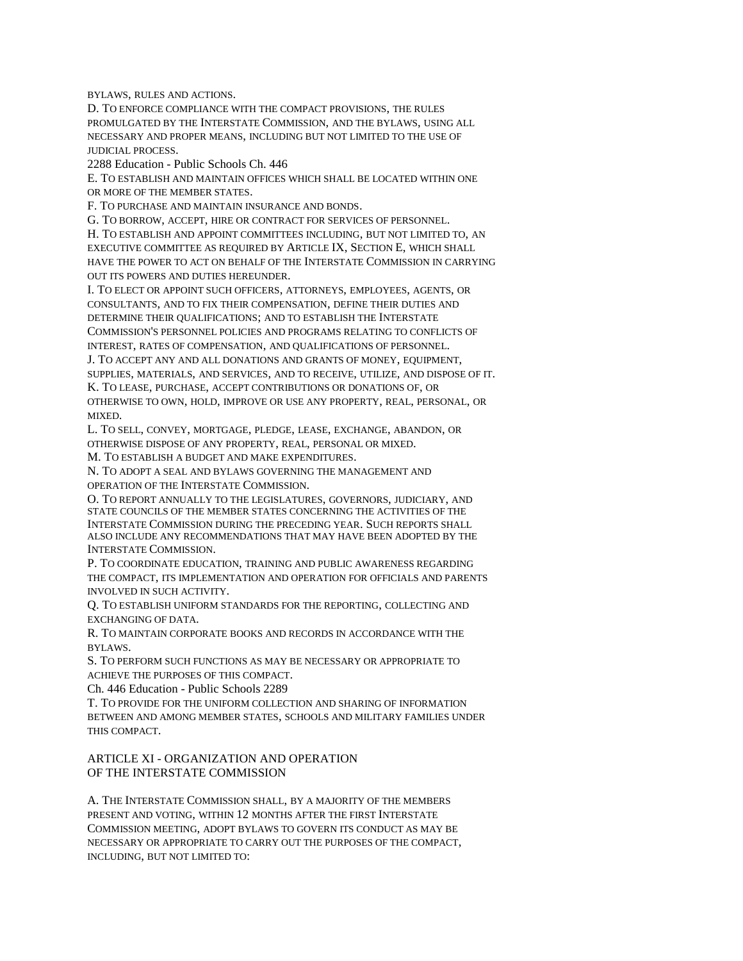BYLAWS, RULES AND ACTIONS.

D. TO ENFORCE COMPLIANCE WITH THE COMPACT PROVISIONS, THE RULES PROMULGATED BY THE INTERSTATE COMMISSION, AND THE BYLAWS, USING ALL NECESSARY AND PROPER MEANS, INCLUDING BUT NOT LIMITED TO THE USE OF JUDICIAL PROCESS.

2288 Education - Public Schools Ch. 446

E. TO ESTABLISH AND MAINTAIN OFFICES WHICH SHALL BE LOCATED WITHIN ONE OR MORE OF THE MEMBER STATES.

F. TO PURCHASE AND MAINTAIN INSURANCE AND BONDS.

G. TO BORROW, ACCEPT, HIRE OR CONTRACT FOR SERVICES OF PERSONNEL. H. TO ESTABLISH AND APPOINT COMMITTEES INCLUDING, BUT NOT LIMITED TO, AN EXECUTIVE COMMITTEE AS REQUIRED BY ARTICLE IX, SECTION E, WHICH SHALL HAVE THE POWER TO ACT ON BEHALF OF THE INTERSTATE COMMISSION IN CARRYING OUT ITS POWERS AND DUTIES HEREUNDER.

I. TO ELECT OR APPOINT SUCH OFFICERS, ATTORNEYS, EMPLOYEES, AGENTS, OR CONSULTANTS, AND TO FIX THEIR COMPENSATION, DEFINE THEIR DUTIES AND DETERMINE THEIR QUALIFICATIONS; AND TO ESTABLISH THE INTERSTATE COMMISSION'S PERSONNEL POLICIES AND PROGRAMS RELATING TO CONFLICTS OF INTEREST, RATES OF COMPENSATION, AND QUALIFICATIONS OF PERSONNEL.

J. TO ACCEPT ANY AND ALL DONATIONS AND GRANTS OF MONEY, EQUIPMENT, SUPPLIES, MATERIALS, AND SERVICES, AND TO RECEIVE, UTILIZE, AND DISPOSE OF IT. K. TO LEASE, PURCHASE, ACCEPT CONTRIBUTIONS OR DONATIONS OF, OR OTHERWISE TO OWN, HOLD, IMPROVE OR USE ANY PROPERTY, REAL, PERSONAL, OR MIXED.

L. TO SELL, CONVEY, MORTGAGE, PLEDGE, LEASE, EXCHANGE, ABANDON, OR OTHERWISE DISPOSE OF ANY PROPERTY, REAL, PERSONAL OR MIXED.

M. TO ESTABLISH A BUDGET AND MAKE EXPENDITURES.

N. TO ADOPT A SEAL AND BYLAWS GOVERNING THE MANAGEMENT AND OPERATION OF THE INTERSTATE COMMISSION.

O. TO REPORT ANNUALLY TO THE LEGISLATURES, GOVERNORS, JUDICIARY, AND STATE COUNCILS OF THE MEMBER STATES CONCERNING THE ACTIVITIES OF THE INTERSTATE COMMISSION DURING THE PRECEDING YEAR. SUCH REPORTS SHALL ALSO INCLUDE ANY RECOMMENDATIONS THAT MAY HAVE BEEN ADOPTED BY THE INTERSTATE COMMISSION.

P. TO COORDINATE EDUCATION, TRAINING AND PUBLIC AWARENESS REGARDING THE COMPACT, ITS IMPLEMENTATION AND OPERATION FOR OFFICIALS AND PARENTS INVOLVED IN SUCH ACTIVITY.

Q. TO ESTABLISH UNIFORM STANDARDS FOR THE REPORTING, COLLECTING AND EXCHANGING OF DATA.

R. TO MAINTAIN CORPORATE BOOKS AND RECORDS IN ACCORDANCE WITH THE BYLAWS.

S. TO PERFORM SUCH FUNCTIONS AS MAY BE NECESSARY OR APPROPRIATE TO ACHIEVE THE PURPOSES OF THIS COMPACT.

Ch. 446 Education - Public Schools 2289

T. TO PROVIDE FOR THE UNIFORM COLLECTION AND SHARING OF INFORMATION BETWEEN AND AMONG MEMBER STATES, SCHOOLS AND MILITARY FAMILIES UNDER THIS COMPACT.

ARTICLE XI - ORGANIZATION AND OPERATION OF THE INTERSTATE COMMISSION

A. THE INTERSTATE COMMISSION SHALL, BY A MAJORITY OF THE MEMBERS PRESENT AND VOTING, WITHIN 12 MONTHS AFTER THE FIRST INTERSTATE COMMISSION MEETING, ADOPT BYLAWS TO GOVERN ITS CONDUCT AS MAY BE NECESSARY OR APPROPRIATE TO CARRY OUT THE PURPOSES OF THE COMPACT, INCLUDING, BUT NOT LIMITED TO: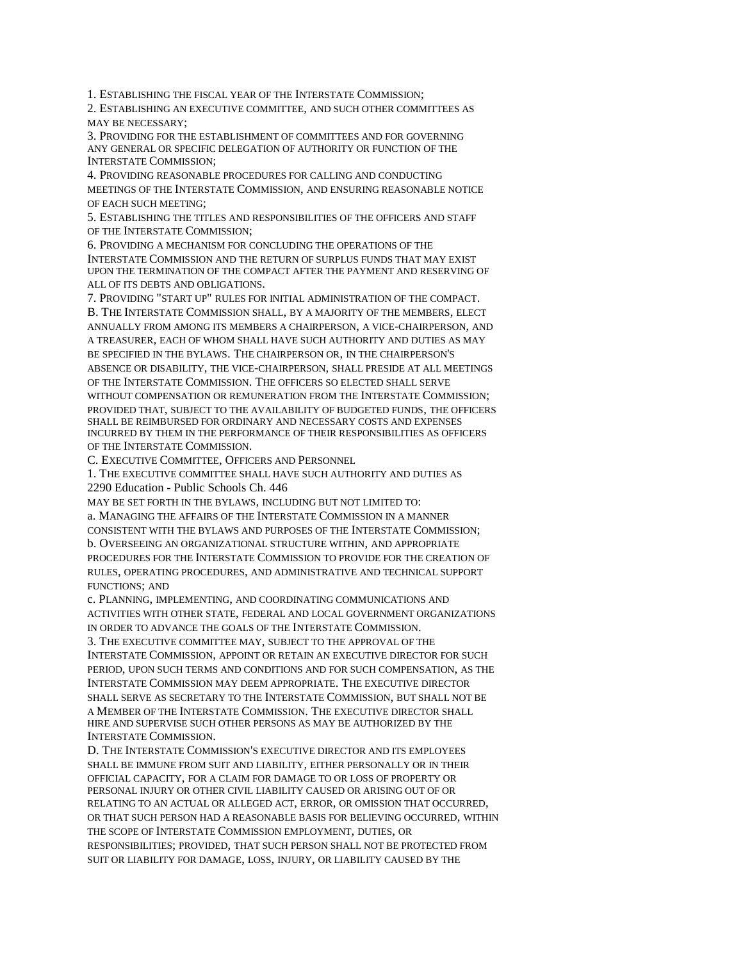1. ESTABLISHING THE FISCAL YEAR OF THE INTERSTATE COMMISSION;

2. ESTABLISHING AN EXECUTIVE COMMITTEE, AND SUCH OTHER COMMITTEES AS MAY BE NECESSARY;

3. PROVIDING FOR THE ESTABLISHMENT OF COMMITTEES AND FOR GOVERNING ANY GENERAL OR SPECIFIC DELEGATION OF AUTHORITY OR FUNCTION OF THE INTERSTATE COMMISSION;

4. PROVIDING REASONABLE PROCEDURES FOR CALLING AND CONDUCTING MEETINGS OF THE INTERSTATE COMMISSION, AND ENSURING REASONABLE NOTICE OF EACH SUCH MEETING;

5. ESTABLISHING THE TITLES AND RESPONSIBILITIES OF THE OFFICERS AND STAFF OF THE INTERSTATE COMMISSION;

6. PROVIDING A MECHANISM FOR CONCLUDING THE OPERATIONS OF THE INTERSTATE COMMISSION AND THE RETURN OF SURPLUS FUNDS THAT MAY EXIST UPON THE TERMINATION OF THE COMPACT AFTER THE PAYMENT AND RESERVING OF ALL OF ITS DEBTS AND OBLIGATIONS.

7. PROVIDING "START UP" RULES FOR INITIAL ADMINISTRATION OF THE COMPACT. B. THE INTERSTATE COMMISSION SHALL, BY A MAJORITY OF THE MEMBERS, ELECT ANNUALLY FROM AMONG ITS MEMBERS A CHAIRPERSON, A VICE-CHAIRPERSON, AND A TREASURER, EACH OF WHOM SHALL HAVE SUCH AUTHORITY AND DUTIES AS MAY BE SPECIFIED IN THE BYLAWS. THE CHAIRPERSON OR, IN THE CHAIRPERSON'S ABSENCE OR DISABILITY, THE VICE-CHAIRPERSON, SHALL PRESIDE AT ALL MEETINGS OF THE INTERSTATE COMMISSION. THE OFFICERS SO ELECTED SHALL SERVE WITHOUT COMPENSATION OR REMUNERATION FROM THE INTERSTATE COMMISSION; PROVIDED THAT, SUBJECT TO THE AVAILABILITY OF BUDGETED FUNDS, THE OFFICERS SHALL BE REIMBURSED FOR ORDINARY AND NECESSARY COSTS AND EXPENSES INCURRED BY THEM IN THE PERFORMANCE OF THEIR RESPONSIBILITIES AS OFFICERS OF THE INTERSTATE COMMISSION.

C. EXECUTIVE COMMITTEE, OFFICERS AND PERSONNEL

1. THE EXECUTIVE COMMITTEE SHALL HAVE SUCH AUTHORITY AND DUTIES AS 2290 Education - Public Schools Ch. 446

MAY BE SET FORTH IN THE BYLAWS, INCLUDING BUT NOT LIMITED TO: a. MANAGING THE AFFAIRS OF THE INTERSTATE COMMISSION IN A MANNER CONSISTENT WITH THE BYLAWS AND PURPOSES OF THE INTERSTATE COMMISSION; b. OVERSEEING AN ORGANIZATIONAL STRUCTURE WITHIN, AND APPROPRIATE

PROCEDURES FOR THE INTERSTATE COMMISSION TO PROVIDE FOR THE CREATION OF RULES, OPERATING PROCEDURES, AND ADMINISTRATIVE AND TECHNICAL SUPPORT FUNCTIONS; AND

c. PLANNING, IMPLEMENTING, AND COORDINATING COMMUNICATIONS AND ACTIVITIES WITH OTHER STATE, FEDERAL AND LOCAL GOVERNMENT ORGANIZATIONS IN ORDER TO ADVANCE THE GOALS OF THE INTERSTATE COMMISSION.

3. THE EXECUTIVE COMMITTEE MAY, SUBJECT TO THE APPROVAL OF THE INTERSTATE COMMISSION, APPOINT OR RETAIN AN EXECUTIVE DIRECTOR FOR SUCH PERIOD, UPON SUCH TERMS AND CONDITIONS AND FOR SUCH COMPENSATION, AS THE INTERSTATE COMMISSION MAY DEEM APPROPRIATE. THE EXECUTIVE DIRECTOR SHALL SERVE AS SECRETARY TO THE INTERSTATE COMMISSION, BUT SHALL NOT BE A MEMBER OF THE INTERSTATE COMMISSION. THE EXECUTIVE DIRECTOR SHALL HIRE AND SUPERVISE SUCH OTHER PERSONS AS MAY BE AUTHORIZED BY THE INTERSTATE COMMISSION.

D. THE INTERSTATE COMMISSION'S EXECUTIVE DIRECTOR AND ITS EMPLOYEES SHALL BE IMMUNE FROM SUIT AND LIABILITY, EITHER PERSONALLY OR IN THEIR OFFICIAL CAPACITY, FOR A CLAIM FOR DAMAGE TO OR LOSS OF PROPERTY OR PERSONAL INJURY OR OTHER CIVIL LIABILITY CAUSED OR ARISING OUT OF OR RELATING TO AN ACTUAL OR ALLEGED ACT, ERROR, OR OMISSION THAT OCCURRED, OR THAT SUCH PERSON HAD A REASONABLE BASIS FOR BELIEVING OCCURRED, WITHIN THE SCOPE OF INTERSTATE COMMISSION EMPLOYMENT, DUTIES, OR RESPONSIBILITIES; PROVIDED, THAT SUCH PERSON SHALL NOT BE PROTECTED FROM SUIT OR LIABILITY FOR DAMAGE, LOSS, INJURY, OR LIABILITY CAUSED BY THE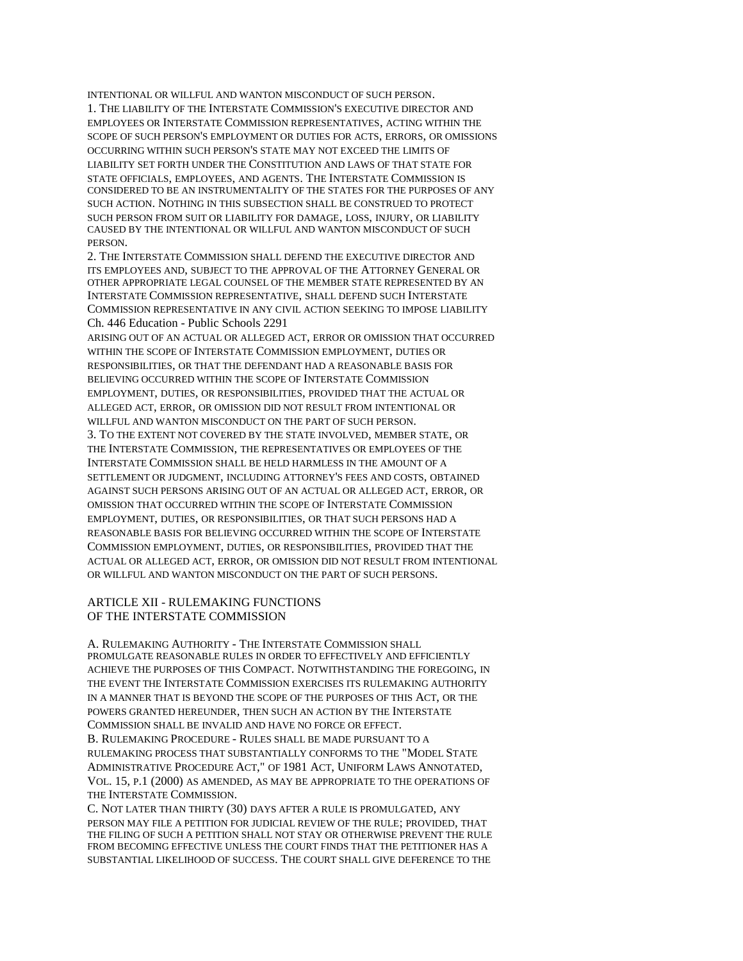INTENTIONAL OR WILLFUL AND WANTON MISCONDUCT OF SUCH PERSON. 1. THE LIABILITY OF THE INTERSTATE COMMISSION'S EXECUTIVE DIRECTOR AND EMPLOYEES OR INTERSTATE COMMISSION REPRESENTATIVES, ACTING WITHIN THE SCOPE OF SUCH PERSON'S EMPLOYMENT OR DUTIES FOR ACTS, ERRORS, OR OMISSIONS OCCURRING WITHIN SUCH PERSON'S STATE MAY NOT EXCEED THE LIMITS OF LIABILITY SET FORTH UNDER THE CONSTITUTION AND LAWS OF THAT STATE FOR STATE OFFICIALS, EMPLOYEES, AND AGENTS. THE INTERSTATE COMMISSION IS CONSIDERED TO BE AN INSTRUMENTALITY OF THE STATES FOR THE PURPOSES OF ANY SUCH ACTION. NOTHING IN THIS SUBSECTION SHALL BE CONSTRUED TO PROTECT SUCH PERSON FROM SUIT OR LIABILITY FOR DAMAGE, LOSS, INJURY, OR LIABILITY CAUSED BY THE INTENTIONAL OR WILLFUL AND WANTON MISCONDUCT OF SUCH PERSON.

2. THE INTERSTATE COMMISSION SHALL DEFEND THE EXECUTIVE DIRECTOR AND ITS EMPLOYEES AND, SUBJECT TO THE APPROVAL OF THE ATTORNEY GENERAL OR OTHER APPROPRIATE LEGAL COUNSEL OF THE MEMBER STATE REPRESENTED BY AN INTERSTATE COMMISSION REPRESENTATIVE, SHALL DEFEND SUCH INTERSTATE COMMISSION REPRESENTATIVE IN ANY CIVIL ACTION SEEKING TO IMPOSE LIABILITY Ch. 446 Education - Public Schools 2291

ARISING OUT OF AN ACTUAL OR ALLEGED ACT, ERROR OR OMISSION THAT OCCURRED WITHIN THE SCOPE OF INTERSTATE COMMISSION EMPLOYMENT, DUTIES OR RESPONSIBILITIES, OR THAT THE DEFENDANT HAD A REASONABLE BASIS FOR BELIEVING OCCURRED WITHIN THE SCOPE OF INTERSTATE COMMISSION EMPLOYMENT, DUTIES, OR RESPONSIBILITIES, PROVIDED THAT THE ACTUAL OR ALLEGED ACT, ERROR, OR OMISSION DID NOT RESULT FROM INTENTIONAL OR WILLFUL AND WANTON MISCONDUCT ON THE PART OF SUCH PERSON.

3. TO THE EXTENT NOT COVERED BY THE STATE INVOLVED, MEMBER STATE, OR THE INTERSTATE COMMISSION, THE REPRESENTATIVES OR EMPLOYEES OF THE INTERSTATE COMMISSION SHALL BE HELD HARMLESS IN THE AMOUNT OF A SETTLEMENT OR JUDGMENT, INCLUDING ATTORNEY'S FEES AND COSTS, OBTAINED AGAINST SUCH PERSONS ARISING OUT OF AN ACTUAL OR ALLEGED ACT, ERROR, OR OMISSION THAT OCCURRED WITHIN THE SCOPE OF INTERSTATE COMMISSION EMPLOYMENT, DUTIES, OR RESPONSIBILITIES, OR THAT SUCH PERSONS HAD A REASONABLE BASIS FOR BELIEVING OCCURRED WITHIN THE SCOPE OF INTERSTATE COMMISSION EMPLOYMENT, DUTIES, OR RESPONSIBILITIES, PROVIDED THAT THE ACTUAL OR ALLEGED ACT, ERROR, OR OMISSION DID NOT RESULT FROM INTENTIONAL OR WILLFUL AND WANTON MISCONDUCT ON THE PART OF SUCH PERSONS.

#### ARTICLE XII - RULEMAKING FUNCTIONS OF THE INTERSTATE COMMISSION

A. RULEMAKING AUTHORITY - THE INTERSTATE COMMISSION SHALL PROMULGATE REASONABLE RULES IN ORDER TO EFFECTIVELY AND EFFICIENTLY ACHIEVE THE PURPOSES OF THIS COMPACT. NOTWITHSTANDING THE FOREGOING, IN THE EVENT THE INTERSTATE COMMISSION EXERCISES ITS RULEMAKING AUTHORITY IN A MANNER THAT IS BEYOND THE SCOPE OF THE PURPOSES OF THIS ACT, OR THE POWERS GRANTED HEREUNDER, THEN SUCH AN ACTION BY THE INTERSTATE COMMISSION SHALL BE INVALID AND HAVE NO FORCE OR EFFECT.

B. RULEMAKING PROCEDURE - RULES SHALL BE MADE PURSUANT TO A RULEMAKING PROCESS THAT SUBSTANTIALLY CONFORMS TO THE "MODEL STATE ADMINISTRATIVE PROCEDURE ACT," OF 1981 ACT, UNIFORM LAWS ANNOTATED, VOL. 15, P.1 (2000) AS AMENDED, AS MAY BE APPROPRIATE TO THE OPERATIONS OF THE INTERSTATE COMMISSION.

C. NOT LATER THAN THIRTY (30) DAYS AFTER A RULE IS PROMULGATED, ANY PERSON MAY FILE A PETITION FOR JUDICIAL REVIEW OF THE RULE; PROVIDED, THAT THE FILING OF SUCH A PETITION SHALL NOT STAY OR OTHERWISE PREVENT THE RULE FROM BECOMING EFFECTIVE UNLESS THE COURT FINDS THAT THE PETITIONER HAS A SUBSTANTIAL LIKELIHOOD OF SUCCESS. THE COURT SHALL GIVE DEFERENCE TO THE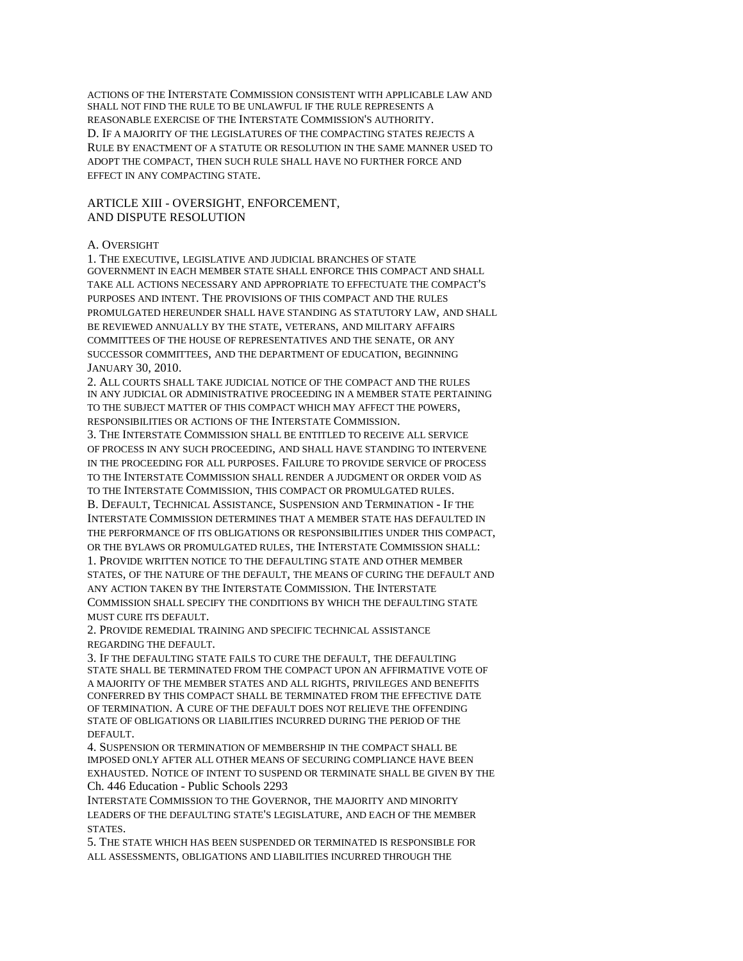ACTIONS OF THE INTERSTATE COMMISSION CONSISTENT WITH APPLICABLE LAW AND SHALL NOT FIND THE RULE TO BE UNLAWFUL IF THE RULE REPRESENTS A REASONABLE EXERCISE OF THE INTERSTATE COMMISSION'S AUTHORITY. D. IF A MAJORITY OF THE LEGISLATURES OF THE COMPACTING STATES REJECTS A RULE BY ENACTMENT OF A STATUTE OR RESOLUTION IN THE SAME MANNER USED TO ADOPT THE COMPACT, THEN SUCH RULE SHALL HAVE NO FURTHER FORCE AND EFFECT IN ANY COMPACTING STATE.

## ARTICLE XIII - OVERSIGHT, ENFORCEMENT, AND DISPUTE RESOLUTION

#### A. OVERSIGHT

1. THE EXECUTIVE, LEGISLATIVE AND JUDICIAL BRANCHES OF STATE GOVERNMENT IN EACH MEMBER STATE SHALL ENFORCE THIS COMPACT AND SHALL TAKE ALL ACTIONS NECESSARY AND APPROPRIATE TO EFFECTUATE THE COMPACT'S PURPOSES AND INTENT. THE PROVISIONS OF THIS COMPACT AND THE RULES PROMULGATED HEREUNDER SHALL HAVE STANDING AS STATUTORY LAW, AND SHALL BE REVIEWED ANNUALLY BY THE STATE, VETERANS, AND MILITARY AFFAIRS COMMITTEES OF THE HOUSE OF REPRESENTATIVES AND THE SENATE, OR ANY SUCCESSOR COMMITTEES, AND THE DEPARTMENT OF EDUCATION, BEGINNING JANUARY 30, 2010.

2. ALL COURTS SHALL TAKE JUDICIAL NOTICE OF THE COMPACT AND THE RULES IN ANY JUDICIAL OR ADMINISTRATIVE PROCEEDING IN A MEMBER STATE PERTAINING TO THE SUBJECT MATTER OF THIS COMPACT WHICH MAY AFFECT THE POWERS, RESPONSIBILITIES OR ACTIONS OF THE INTERSTATE COMMISSION.

3. THE INTERSTATE COMMISSION SHALL BE ENTITLED TO RECEIVE ALL SERVICE OF PROCESS IN ANY SUCH PROCEEDING, AND SHALL HAVE STANDING TO INTERVENE IN THE PROCEEDING FOR ALL PURPOSES. FAILURE TO PROVIDE SERVICE OF PROCESS TO THE INTERSTATE COMMISSION SHALL RENDER A JUDGMENT OR ORDER VOID AS TO THE INTERSTATE COMMISSION, THIS COMPACT OR PROMULGATED RULES.

B. DEFAULT, TECHNICAL ASSISTANCE, SUSPENSION AND TERMINATION - IF THE INTERSTATE COMMISSION DETERMINES THAT A MEMBER STATE HAS DEFAULTED IN THE PERFORMANCE OF ITS OBLIGATIONS OR RESPONSIBILITIES UNDER THIS COMPACT, OR THE BYLAWS OR PROMULGATED RULES, THE INTERSTATE COMMISSION SHALL: 1. PROVIDE WRITTEN NOTICE TO THE DEFAULTING STATE AND OTHER MEMBER STATES, OF THE NATURE OF THE DEFAULT, THE MEANS OF CURING THE DEFAULT AND ANY ACTION TAKEN BY THE INTERSTATE COMMISSION. THE INTERSTATE COMMISSION SHALL SPECIFY THE CONDITIONS BY WHICH THE DEFAULTING STATE MUST CURE ITS DEFAULT.

2. PROVIDE REMEDIAL TRAINING AND SPECIFIC TECHNICAL ASSISTANCE REGARDING THE DEFAULT.

3. IF THE DEFAULTING STATE FAILS TO CURE THE DEFAULT, THE DEFAULTING STATE SHALL BE TERMINATED FROM THE COMPACT UPON AN AFFIRMATIVE VOTE OF A MAJORITY OF THE MEMBER STATES AND ALL RIGHTS, PRIVILEGES AND BENEFITS CONFERRED BY THIS COMPACT SHALL BE TERMINATED FROM THE EFFECTIVE DATE OF TERMINATION. A CURE OF THE DEFAULT DOES NOT RELIEVE THE OFFENDING STATE OF OBLIGATIONS OR LIABILITIES INCURRED DURING THE PERIOD OF THE DEFAULT.

4. SUSPENSION OR TERMINATION OF MEMBERSHIP IN THE COMPACT SHALL BE IMPOSED ONLY AFTER ALL OTHER MEANS OF SECURING COMPLIANCE HAVE BEEN EXHAUSTED. NOTICE OF INTENT TO SUSPEND OR TERMINATE SHALL BE GIVEN BY THE Ch. 446 Education - Public Schools 2293

INTERSTATE COMMISSION TO THE GOVERNOR, THE MAJORITY AND MINORITY LEADERS OF THE DEFAULTING STATE'S LEGISLATURE, AND EACH OF THE MEMBER STATES.

5. THE STATE WHICH HAS BEEN SUSPENDED OR TERMINATED IS RESPONSIBLE FOR ALL ASSESSMENTS, OBLIGATIONS AND LIABILITIES INCURRED THROUGH THE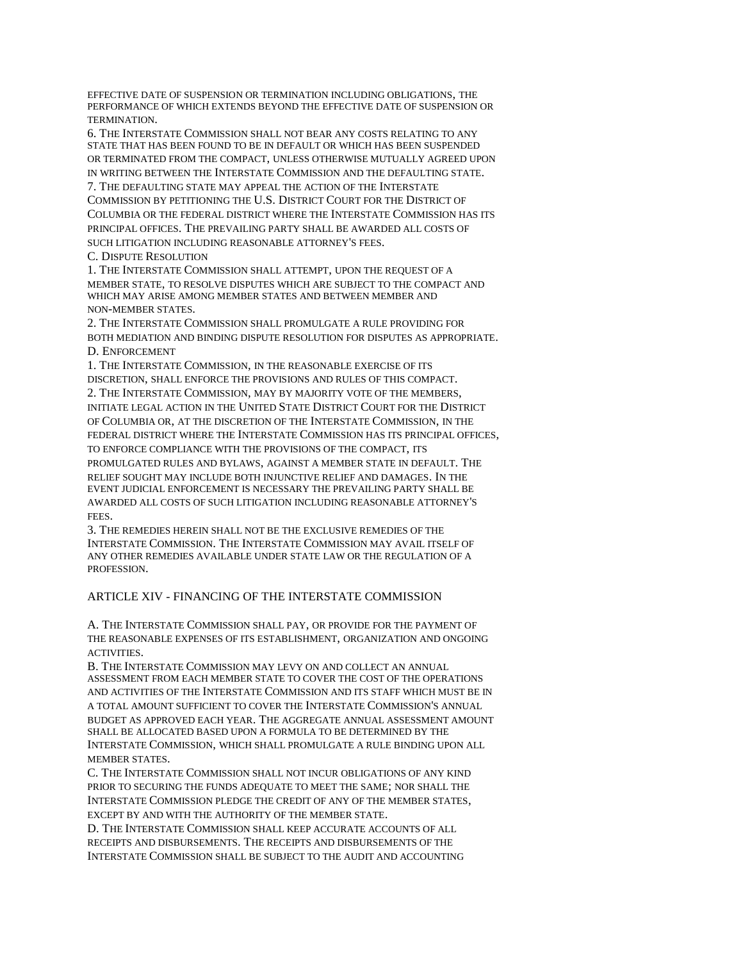EFFECTIVE DATE OF SUSPENSION OR TERMINATION INCLUDING OBLIGATIONS, THE PERFORMANCE OF WHICH EXTENDS BEYOND THE EFFECTIVE DATE OF SUSPENSION OR **TERMINATION.** 

6. THE INTERSTATE COMMISSION SHALL NOT BEAR ANY COSTS RELATING TO ANY STATE THAT HAS BEEN FOUND TO BE IN DEFAULT OR WHICH HAS BEEN SUSPENDED OR TERMINATED FROM THE COMPACT, UNLESS OTHERWISE MUTUALLY AGREED UPON IN WRITING BETWEEN THE INTERSTATE COMMISSION AND THE DEFAULTING STATE.

7. THE DEFAULTING STATE MAY APPEAL THE ACTION OF THE INTERSTATE COMMISSION BY PETITIONING THE U.S. DISTRICT COURT FOR THE DISTRICT OF COLUMBIA OR THE FEDERAL DISTRICT WHERE THE INTERSTATE COMMISSION HAS ITS PRINCIPAL OFFICES. THE PREVAILING PARTY SHALL BE AWARDED ALL COSTS OF SUCH LITIGATION INCLUDING REASONABLE ATTORNEY'S FEES.

C. DISPUTE RESOLUTION

1. THE INTERSTATE COMMISSION SHALL ATTEMPT, UPON THE REQUEST OF A MEMBER STATE, TO RESOLVE DISPUTES WHICH ARE SUBJECT TO THE COMPACT AND WHICH MAY ARISE AMONG MEMBER STATES AND BETWEEN MEMBER AND NON-MEMBER STATES.

2. THE INTERSTATE COMMISSION SHALL PROMULGATE A RULE PROVIDING FOR BOTH MEDIATION AND BINDING DISPUTE RESOLUTION FOR DISPUTES AS APPROPRIATE. D. ENFORCEMENT

1. THE INTERSTATE COMMISSION, IN THE REASONABLE EXERCISE OF ITS DISCRETION, SHALL ENFORCE THE PROVISIONS AND RULES OF THIS COMPACT. 2. THE INTERSTATE COMMISSION, MAY BY MAJORITY VOTE OF THE MEMBERS, INITIATE LEGAL ACTION IN THE UNITED STATE DISTRICT COURT FOR THE DISTRICT OF COLUMBIA OR, AT THE DISCRETION OF THE INTERSTATE COMMISSION, IN THE FEDERAL DISTRICT WHERE THE INTERSTATE COMMISSION HAS ITS PRINCIPAL OFFICES, TO ENFORCE COMPLIANCE WITH THE PROVISIONS OF THE COMPACT, ITS PROMULGATED RULES AND BYLAWS, AGAINST A MEMBER STATE IN DEFAULT. THE RELIEF SOUGHT MAY INCLUDE BOTH INJUNCTIVE RELIEF AND DAMAGES. IN THE EVENT JUDICIAL ENFORCEMENT IS NECESSARY THE PREVAILING PARTY SHALL BE AWARDED ALL COSTS OF SUCH LITIGATION INCLUDING REASONABLE ATTORNEY'S FEES.

3. THE REMEDIES HEREIN SHALL NOT BE THE EXCLUSIVE REMEDIES OF THE INTERSTATE COMMISSION. THE INTERSTATE COMMISSION MAY AVAIL ITSELF OF ANY OTHER REMEDIES AVAILABLE UNDER STATE LAW OR THE REGULATION OF A PROFESSION.

### ARTICLE XIV - FINANCING OF THE INTERSTATE COMMISSION

A. THE INTERSTATE COMMISSION SHALL PAY, OR PROVIDE FOR THE PAYMENT OF THE REASONABLE EXPENSES OF ITS ESTABLISHMENT, ORGANIZATION AND ONGOING **ACTIVITIES** 

B. THE INTERSTATE COMMISSION MAY LEVY ON AND COLLECT AN ANNUAL ASSESSMENT FROM EACH MEMBER STATE TO COVER THE COST OF THE OPERATIONS AND ACTIVITIES OF THE INTERSTATE COMMISSION AND ITS STAFF WHICH MUST BE IN A TOTAL AMOUNT SUFFICIENT TO COVER THE INTERSTATE COMMISSION'S ANNUAL BUDGET AS APPROVED EACH YEAR. THE AGGREGATE ANNUAL ASSESSMENT AMOUNT SHALL BE ALLOCATED BASED UPON A FORMULA TO BE DETERMINED BY THE INTERSTATE COMMISSION, WHICH SHALL PROMULGATE A RULE BINDING UPON ALL MEMBER STATES.

C. THE INTERSTATE COMMISSION SHALL NOT INCUR OBLIGATIONS OF ANY KIND PRIOR TO SECURING THE FUNDS ADEQUATE TO MEET THE SAME; NOR SHALL THE INTERSTATE COMMISSION PLEDGE THE CREDIT OF ANY OF THE MEMBER STATES, EXCEPT BY AND WITH THE AUTHORITY OF THE MEMBER STATE.

D. THE INTERSTATE COMMISSION SHALL KEEP ACCURATE ACCOUNTS OF ALL RECEIPTS AND DISBURSEMENTS. THE RECEIPTS AND DISBURSEMENTS OF THE INTERSTATE COMMISSION SHALL BE SUBJECT TO THE AUDIT AND ACCOUNTING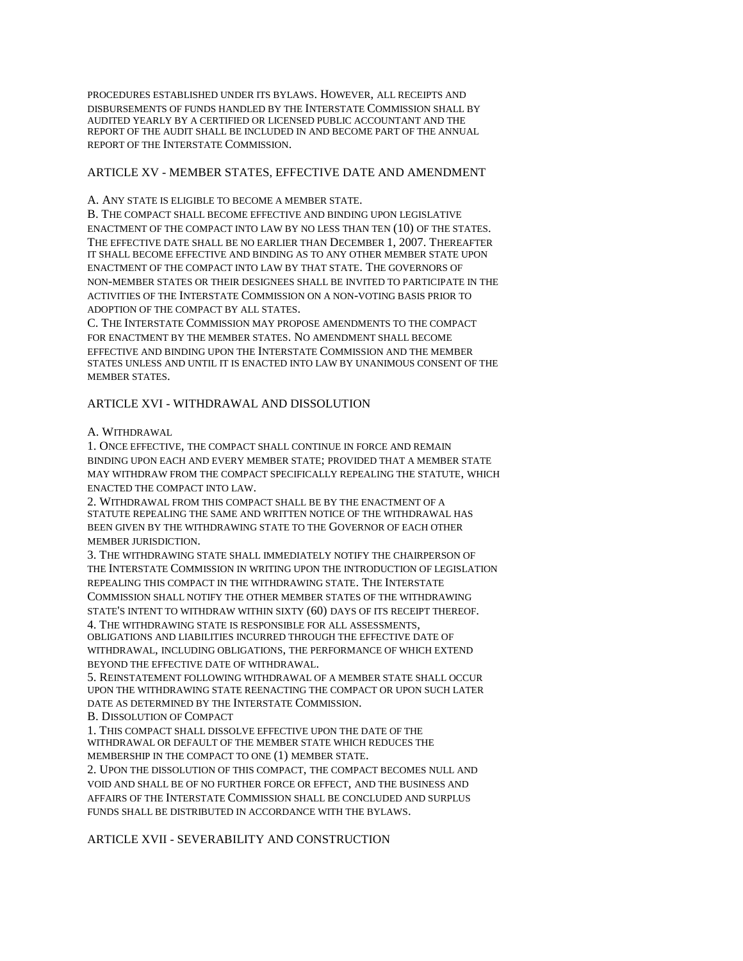PROCEDURES ESTABLISHED UNDER ITS BYLAWS. HOWEVER, ALL RECEIPTS AND DISBURSEMENTS OF FUNDS HANDLED BY THE INTERSTATE COMMISSION SHALL BY AUDITED YEARLY BY A CERTIFIED OR LICENSED PUBLIC ACCOUNTANT AND THE REPORT OF THE AUDIT SHALL BE INCLUDED IN AND BECOME PART OF THE ANNUAL REPORT OF THE INTERSTATE COMMISSION.

## ARTICLE XV - MEMBER STATES, EFFECTIVE DATE AND AMENDMENT

#### A. ANY STATE IS ELIGIBLE TO BECOME A MEMBER STATE.

B. THE COMPACT SHALL BECOME EFFECTIVE AND BINDING UPON LEGISLATIVE ENACTMENT OF THE COMPACT INTO LAW BY NO LESS THAN TEN (10) OF THE STATES. THE EFFECTIVE DATE SHALL BE NO EARLIER THAN DECEMBER 1, 2007. THEREAFTER IT SHALL BECOME EFFECTIVE AND BINDING AS TO ANY OTHER MEMBER STATE UPON ENACTMENT OF THE COMPACT INTO LAW BY THAT STATE. THE GOVERNORS OF NON-MEMBER STATES OR THEIR DESIGNEES SHALL BE INVITED TO PARTICIPATE IN THE ACTIVITIES OF THE INTERSTATE COMMISSION ON A NON-VOTING BASIS PRIOR TO ADOPTION OF THE COMPACT BY ALL STATES.

C. THE INTERSTATE COMMISSION MAY PROPOSE AMENDMENTS TO THE COMPACT FOR ENACTMENT BY THE MEMBER STATES. NO AMENDMENT SHALL BECOME EFFECTIVE AND BINDING UPON THE INTERSTATE COMMISSION AND THE MEMBER STATES UNLESS AND UNTIL IT IS ENACTED INTO LAW BY UNANIMOUS CONSENT OF THE MEMBER STATES.

## ARTICLE XVI - WITHDRAWAL AND DISSOLUTION

#### A. WITHDRAWAL

1. ONCE EFFECTIVE, THE COMPACT SHALL CONTINUE IN FORCE AND REMAIN BINDING UPON EACH AND EVERY MEMBER STATE; PROVIDED THAT A MEMBER STATE MAY WITHDRAW FROM THE COMPACT SPECIFICALLY REPEALING THE STATUTE, WHICH ENACTED THE COMPACT INTO LAW.

2. WITHDRAWAL FROM THIS COMPACT SHALL BE BY THE ENACTMENT OF A STATUTE REPEALING THE SAME AND WRITTEN NOTICE OF THE WITHDRAWAL HAS BEEN GIVEN BY THE WITHDRAWING STATE TO THE GOVERNOR OF EACH OTHER MEMBER JURISDICTION.

3. THE WITHDRAWING STATE SHALL IMMEDIATELY NOTIFY THE CHAIRPERSON OF THE INTERSTATE COMMISSION IN WRITING UPON THE INTRODUCTION OF LEGISLATION REPEALING THIS COMPACT IN THE WITHDRAWING STATE. THE INTERSTATE COMMISSION SHALL NOTIFY THE OTHER MEMBER STATES OF THE WITHDRAWING STATE'S INTENT TO WITHDRAW WITHIN SIXTY (60) DAYS OF ITS RECEIPT THEREOF.

4. THE WITHDRAWING STATE IS RESPONSIBLE FOR ALL ASSESSMENTS, OBLIGATIONS AND LIABILITIES INCURRED THROUGH THE EFFECTIVE DATE OF WITHDRAWAL, INCLUDING OBLIGATIONS, THE PERFORMANCE OF WHICH EXTEND BEYOND THE EFFECTIVE DATE OF WITHDRAWAL.

5. REINSTATEMENT FOLLOWING WITHDRAWAL OF A MEMBER STATE SHALL OCCUR UPON THE WITHDRAWING STATE REENACTING THE COMPACT OR UPON SUCH LATER DATE AS DETERMINED BY THE INTERSTATE COMMISSION.

B. DISSOLUTION OF COMPACT

1. THIS COMPACT SHALL DISSOLVE EFFECTIVE UPON THE DATE OF THE WITHDRAWAL OR DEFAULT OF THE MEMBER STATE WHICH REDUCES THE MEMBERSHIP IN THE COMPACT TO ONE (1) MEMBER STATE.

2. UPON THE DISSOLUTION OF THIS COMPACT, THE COMPACT BECOMES NULL AND VOID AND SHALL BE OF NO FURTHER FORCE OR EFFECT, AND THE BUSINESS AND AFFAIRS OF THE INTERSTATE COMMISSION SHALL BE CONCLUDED AND SURPLUS FUNDS SHALL BE DISTRIBUTED IN ACCORDANCE WITH THE BYLAWS.

## ARTICLE XVII - SEVERABILITY AND CONSTRUCTION